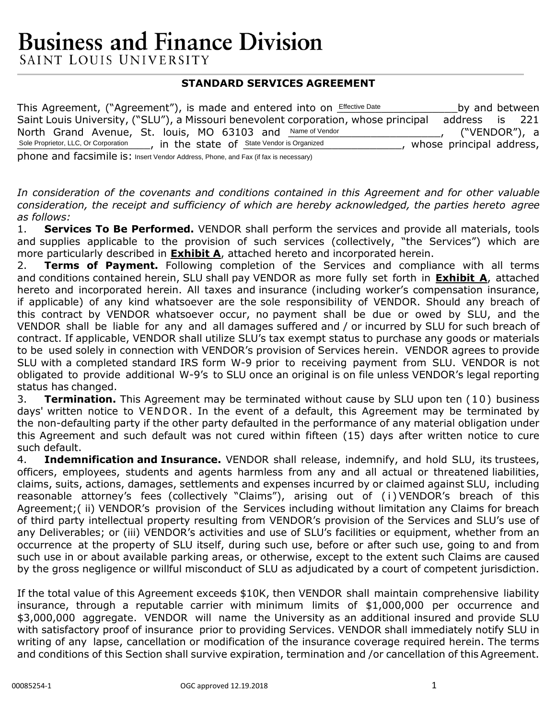# **Business and Finance Division**

SAINT LOUIS UNIVERSITY

### **STANDARD SERVICES AGREEMENT**

This Agreement, ("Agreement"), is made and entered into on **Effective Date** \_\_\_\_\_\_\_\_\_\_\_\_\_\_\_\_\_by and between Saint Louis University, ("SLU"), a Missouri benevolent corporation, whose principal address is 221 North Grand Avenue, St. louis, MO 63103 and Name of Vendor **Name 19 10 100 100 100 100**, ("VENDOR"), a Sole Proprietor, LLC, Or Corporation [10], in the state of State Vendor is Organized [10], whose principal address, phone and facsimile is: Insert Vendor Address, Phone, and Fax (if fax is necessary)

*In consideration of the covenants and conditions contained in this Agreement and for other valuable consideration, the receipt and sufficiency of which are hereby acknowledged, the parties hereto agree as follows:*

1. **Services To Be Performed.** VENDOR shall perform the services and provide all materials, tools and supplies applicable to the provision of such services (collectively, "the Services") which are more particularly described in **Exhibit A**, attached hereto and incorporated herein.

2. **Terms of Payment.** Following completion of the Services and compliance with all terms and conditions contained herein, SLU shall pay VENDOR as more fully set forth in **Exhibit A**, attached hereto and incorporated herein. All taxes and insurance (including worker's compensation insurance, if applicable) of any kind whatsoever are the sole responsibility of VENDOR. Should any breach of this contract by VENDOR whatsoever occur, no payment shall be due or owed by SLU, and the VENDOR shall be liable for any and all damages suffered and / or incurred by SLU for such breach of contract. If applicable, VENDOR shall utilize SLU's tax exempt status to purchase any goods or materials to be used solely in connection with VENDOR's provision of Services herein. VENDOR agrees to provide SLU with a completed standard IRS form W-9 prior to receiving payment from SLU. VENDOR is not obligated to provide additional W-9's to SLU once an original is on file unless VENDOR's legal reporting status has changed.

3. **Termination.** This Agreement may be terminated without cause by SLU upon ten (10) business days' written notice to VENDOR. In the event of a default, this Agreement may be terminated by the non-defaulting party if the other party defaulted in the performance of any material obligation under this Agreement and such default was not cured within fifteen (15) days after written notice to cure such default.

4. **Indemnification and Insurance.** VENDOR shall release, indemnify, and hold SLU, its trustees, officers, employees, students and agents harmless from any and all actual or threatened liabilities, claims, suits, actions, damages, settlements and expenses incurred by or claimed against SLU, including reasonable attorney's fees (collectively "Claims"), arising out of ( i ) VENDOR's breach of this Agreement;( ii) VENDOR's provision of the Services including without limitation any Claims for breach of third party intellectual property resulting from VENDOR's provision of the Services and SLU's use of any Deliverables; or (iii) VENDOR's activities and use of SLU's facilities or equipment, whether from an occurrence at the property of SLU itself, during such use, before or after such use, going to and from such use in or about available parking areas, or otherwise, except to the extent such Claims are caused by the gross negligence or willful misconduct of SLU as adjudicated by a court of competent jurisdiction.

If the total value of this Agreement exceeds \$10K, then VENDOR shall maintain comprehensive liability insurance, through a reputable carrier with minimum limits of \$1,000,000 per occurrence and \$3,000,000 aggregate. VENDOR will name the University as an additional insured and provide SLU with satisfactory proof of insurance prior to providing Services. VENDOR shall immediately notify SLU in writing of any lapse, cancellation or modification of the insurance coverage required herein. The terms and conditions of this Section shall survive expiration, termination and /or cancellation of this Agreement.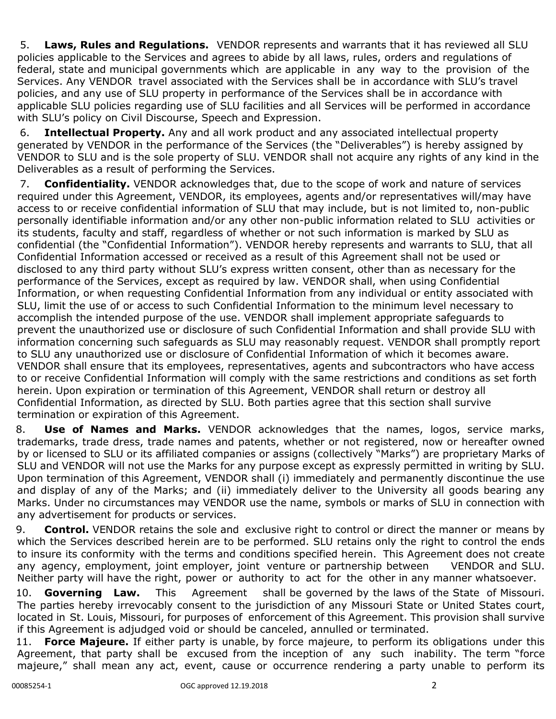5. **Laws, Rules and Regulations.** VENDOR represents and warrants that it has reviewed all SLU policies applicable to the Services and agrees to abide by all laws, rules, orders and regulations of federal, state and municipal governments which are applicable in any way to the provision of the Services. Any VENDOR travel associated with the Services shall be in accordance with SLU's travel policies, and any use of SLU property in performance of the Services shall be in accordance with applicable SLU policies regarding use of SLU facilities and all Services will be performed in accordance with SLU's policy on Civil Discourse, Speech and Expression.

6. **Intellectual Property.** Any and all work product and any associated intellectual property generated by VENDOR in the performance of the Services (the "Deliverables") is hereby assigned by VENDOR to SLU and is the sole property of SLU. VENDOR shall not acquire any rights of any kind in the Deliverables as a result of performing the Services.

7. **Confidentiality.** VENDOR acknowledges that, due to the scope of work and nature of services required under this Agreement, VENDOR, its employees, agents and/or representatives will/may have access to or receive confidential information of SLU that may include, but is not limited to, non-public personally identifiable information and/or any other non-public information related to SLU activities or its students, faculty and staff, regardless of whether or not such information is marked by SLU as confidential (the "Confidential Information"). VENDOR hereby represents and warrants to SLU, that all Confidential Information accessed or received as a result of this Agreement shall not be used or disclosed to any third party without SLU's express written consent, other than as necessary for the performance of the Services, except as required by law. VENDOR shall, when using Confidential Information, or when requesting Confidential Information from any individual or entity associated with SLU, limit the use of or access to such Confidential Information to the minimum level necessary to accomplish the intended purpose of the use. VENDOR shall implement appropriate safeguards to prevent the unauthorized use or disclosure of such Confidential Information and shall provide SLU with information concerning such safeguards as SLU may reasonably request. VENDOR shall promptly report to SLU any unauthorized use or disclosure of Confidential Information of which it becomes aware. VENDOR shall ensure that its employees, representatives, agents and subcontractors who have access to or receive Confidential Information will comply with the same restrictions and conditions as set forth herein. Upon expiration or termination of this Agreement, VENDOR shall return or destroy all Confidential Information, as directed by SLU. Both parties agree that this section shall survive termination or expiration of this Agreement.

8. **Use of Names and Marks.** VENDOR acknowledges that the names, logos, service marks, trademarks, trade dress, trade names and patents, whether or not registered, now or hereafter owned by or licensed to SLU or its affiliated companies or assigns (collectively "Marks") are proprietary Marks of SLU and VENDOR will not use the Marks for any purpose except as expressly permitted in writing by SLU. Upon termination of this Agreement, VENDOR shall (i) immediately and permanently discontinue the use and display of any of the Marks; and (ii) immediately deliver to the University all goods bearing any Marks. Under no circumstances may VENDOR use the name, symbols or marks of SLU in connection with any advertisement for products or services.

9. **Control.** VENDOR retains the sole and exclusive right to control or direct the manner or means by which the Services described herein are to be performed. SLU retains only the right to control the ends to insure its conformity with the terms and conditions specified herein. This Agreement does not create any agency, employment, joint employer, joint venture or partnership between VENDOR and SLU. Neither party will have the right, power or authority to act for the other in any manner whatsoever.

10. **Governing Law.** This Agreement shall be governed by the laws of the State of Missouri. The parties hereby irrevocably consent to the jurisdiction of any Missouri State or United States court, located in St. Louis, Missouri, for purposes of enforcement of this Agreement. This provision shall survive if this Agreement is adjudged void or should be canceled, annulled or terminated.

11. **Force Majeure.** If either party is unable, by force majeure, to perform its obligations under this Agreement, that party shall be excused from the inception of any such inability. The term "force majeure," shall mean any act, event, cause or occurrence rendering a party unable to perform its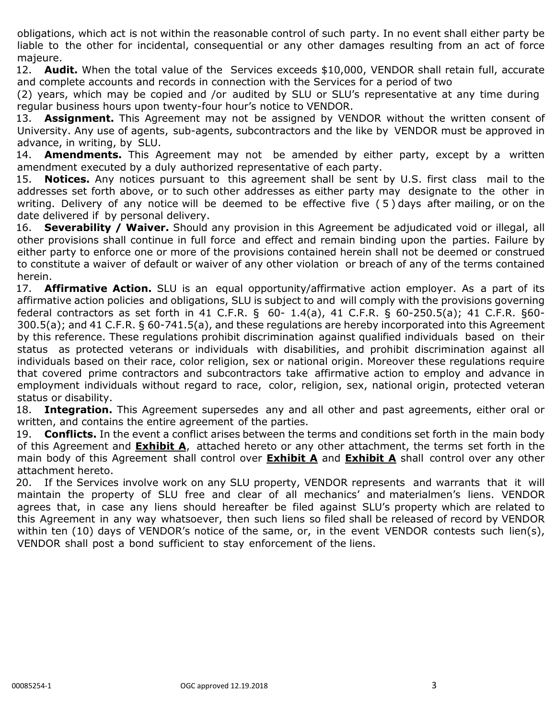obligations, which act is not within the reasonable control of such party. In no event shall either party be liable to the other for incidental, consequential or any other damages resulting from an act of force majeure.

12. **Audit.** When the total value of the Services exceeds \$10,000, VENDOR shall retain full, accurate and complete accounts and records in connection with the Services for a period of two

(2) years, which may be copied and /or audited by SLU or SLU's representative at any time during regular business hours upon twenty-four hour's notice to VENDOR.

13. **Assignment.** This Agreement may not be assigned by VENDOR without the written consent of University. Any use of agents, sub-agents, subcontractors and the like by VENDOR must be approved in advance, in writing, by SLU.

14. **Amendments.** This Agreement may not be amended by either party, except by a written amendment executed by a duly authorized representative of each party.

15. **Notices.** Any notices pursuant to this agreement shall be sent by U.S. first class mail to the addresses set forth above, or to such other addresses as either party may designate to the other in writing. Delivery of any notice will be deemed to be effective five ( 5 ) days after mailing, or on the date delivered if by personal delivery.

16. **Severability / Waiver.** Should any provision in this Agreement be adjudicated void or illegal, all other provisions shall continue in full force and effect and remain binding upon the parties. Failure by either party to enforce one or more of the provisions contained herein shall not be deemed or construed to constitute a waiver of default or waiver of any other violation or breach of any of the terms contained herein.

17. **Affirmative Action.** SLU is an equal opportunity/affirmative action employer. As a part of its affirmative action policies and obligations, SLU is subject to and will comply with the provisions governing federal contractors as set forth in 41 C.F.R. § 60- 1.4(a), 41 C.F.R. § 60-250.5(a); 41 C.F.R. §60- 300.5(a); and 41 C.F.R. § 60-741.5(a), and these regulations are hereby incorporated into this Agreement by this reference. These regulations prohibit discrimination against qualified individuals based on their status as protected veterans or individuals with disabilities, and prohibit discrimination against all individuals based on their race, color religion, sex or national origin. Moreover these regulations require that covered prime contractors and subcontractors take affirmative action to employ and advance in employment individuals without regard to race, color, religion, sex, national origin, protected veteran status or disability.

18. **Integration.** This Agreement supersedes any and all other and past agreements, either oral or written, and contains the entire agreement of the parties.

19. **Conflicts.** In the event a conflict arises between the terms and conditions set forth in the main body of this Agreement and **Exhibit A**, attached hereto or any other attachment, the terms set forth in the main body of this Agreement shall control over **Exhibit A** and **Exhibit A** shall control over any other attachment hereto.

20. If the Services involve work on any SLU property, VENDOR represents and warrants that it will maintain the property of SLU free and clear of all mechanics' and materialmen's liens. VENDOR agrees that, in case any liens should hereafter be filed against SLU's property which are related to this Agreement in any way whatsoever, then such liens so filed shall be released of record by VENDOR within ten (10) days of VENDOR's notice of the same, or, in the event VENDOR contests such lien(s), VENDOR shall post a bond sufficient to stay enforcement of the liens.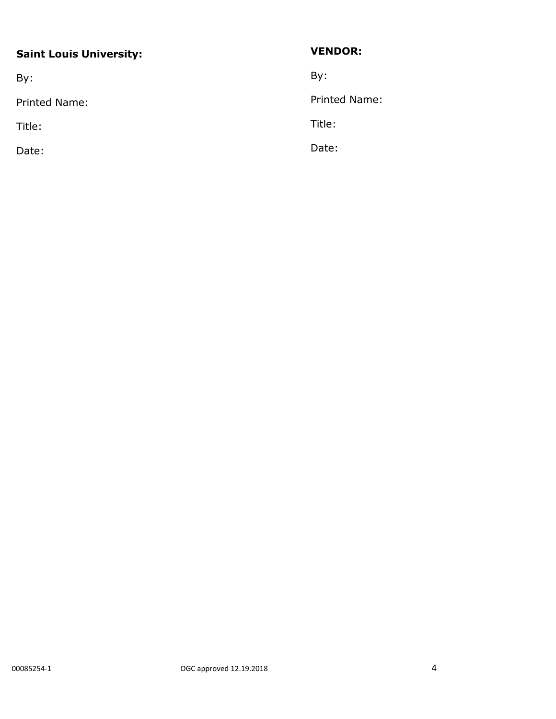## **Saint Louis University:**

By:

Printed Name:

Title:

Date:

## **VENDOR:**

By:

Printed Name:

Title:

Date: